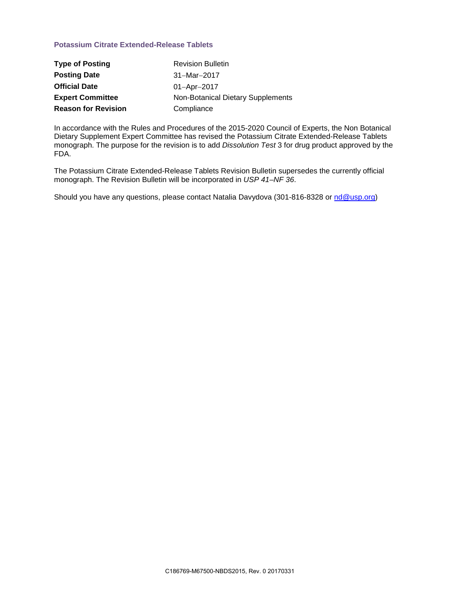## **Potassium Citrate Extended-Release Tablets**

| <b>Type of Posting</b>     | <b>Revision Bulletin</b>          |
|----------------------------|-----------------------------------|
| <b>Posting Date</b>        | $31 - \text{Mar} - 2017$          |
| <b>Official Date</b>       | $01 -$ Apr $-2017$                |
| <b>Expert Committee</b>    | Non-Botanical Dietary Supplements |
| <b>Reason for Revision</b> | Compliance                        |

In accordance with the Rules and Procedures of the 2015-2020 Council of Experts, the Non Botanical Dietary Supplement Expert Committee has revised the Potassium Citrate Extended-Release Tablets monograph. The purpose for the revision is to add *Dissolution Test* 3 for drug product approved by the FDA.

The Potassium Citrate Extended-Release Tablets Revision Bulletin supersedes the currently official monograph. The Revision Bulletin will be incorporated in *USP 41–NF 36*.

Should you have any questions, please contact Natalia Davydova (301-816-8328 or [nd@usp.org\)](mailto:nd@usp.org)